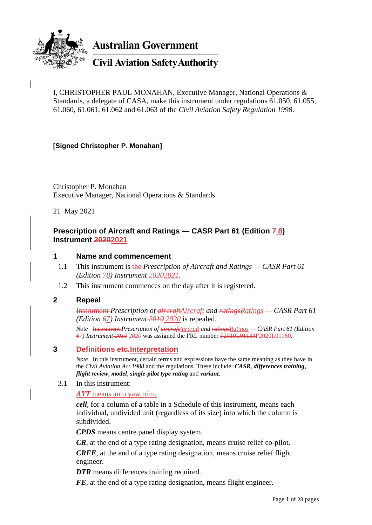

**Australian Government** 

# **Civil Aviation Safety Authority**

I, CHRISTOPHER PAUL MONAHAN, Executive Manager, National Operations & Standards, a delegate of CASA, make this instrument under regulations 61.050, 61.055, 61.060, 61.061, 61.062 and 61.063 of the *Civil Aviation Safety Regulation 1998*.

#### **[Signed Christopher P. Monahan]**

Christopher P. Monahan Executive Manager, National Operations & Standards

21 May 2021

### **Prescription of Aircraft and Ratings — CASR Part 61 (Edition**  $\overline{7}$  **8) Instrument 20202021**

#### **1 Name and commencement**

- 1.1 This instrument is the *Prescription of Aircraft and Ratings — CASR Part 61 (Edition 78) Instrument 20202021*.
- 1.2 This instrument commences on the day after it is registered.

#### **2 Repeal**

Instrument *Prescription of aircraftAircraft and ratingsRatings — CASR Part 61 (Edition 67) Instrument 2019 2020* is repealed.

*Note* Instrument *Prescription of aircraftAircraft and ratingsRatings — CASR Part 61 (Edition 67) Instrument 2019 2020* was assigned the FRL number F2019L01133F2020L01160.

#### **3 Definitions etc.Interpretation**

*Note* In this instrument, certain terms and expressions have the same meaning as they have in the *Civil Aviation Act 1988* and the regulations. These include: *CASR*, *differences training*, *flight review*, *model*, *single-pilot type rating* and *variant*.

#### 3.1 In this instrument:

*AYT* means auto yaw trim.

*cell*, for a column of a table in a Schedule of this instrument, means each individual, undivided unit (regardless of its size) into which the column is subdivided.

*CPDS* means centre panel display system.

*CR*, at the end of a type rating designation, means cruise relief co-pilot.

*CRFE*, at the end of a type rating designation, means cruise relief flight engineer.

*DTR* means differences training required.

*FE*, at the end of a type rating designation, means flight engineer.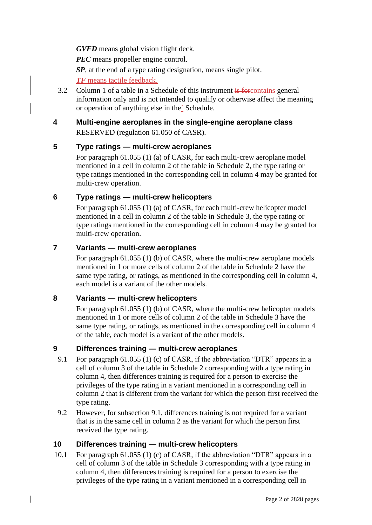*GVFD* means global vision flight deck.

*PEC* means propeller engine control.

*SP*, at the end of a type rating designation, means single pilot.

*TF* means tactile feedback.

3.2 Column 1 of a table in a Schedule of this instrument is forcontains general information only and is not intended to qualify or otherwise affect the meaning or operation of anything else in the` Schedule.

# **4 Multi-engine aeroplanes in the single-engine aeroplane class** RESERVED (regulation 61.050 of CASR).

# **5 Type ratings — multi-crew aeroplanes**

For paragraph 61.055 (1) (a) of CASR, for each multi-crew aeroplane model mentioned in a cell in column 2 of the table in Schedule 2, the type rating or type ratings mentioned in the corresponding cell in column 4 may be granted for multi-crew operation.

# **6 Type ratings — multi-crew helicopters**

For paragraph 61.055 (1) (a) of CASR, for each multi-crew helicopter model mentioned in a cell in column 2 of the table in Schedule 3, the type rating or type ratings mentioned in the corresponding cell in column 4 may be granted for multi-crew operation.

# **7 Variants — multi-crew aeroplanes**

For paragraph 61.055 (1) (b) of CASR, where the multi-crew aeroplane models mentioned in 1 or more cells of column 2 of the table in Schedule 2 have the same type rating, or ratings, as mentioned in the corresponding cell in column 4, each model is a variant of the other models.

# **8 Variants — multi-crew helicopters**

For paragraph 61.055 (1) (b) of CASR, where the multi-crew helicopter models mentioned in 1 or more cells of column 2 of the table in Schedule 3 have the same type rating, or ratings, as mentioned in the corresponding cell in column 4 of the table, each model is a variant of the other models.

# **9 Differences training — multi-crew aeroplanes**

- 9.1 For paragraph 61.055 (1) (c) of CASR, if the abbreviation "DTR" appears in a cell of column 3 of the table in Schedule 2 corresponding with a type rating in column 4, then differences training is required for a person to exercise the privileges of the type rating in a variant mentioned in a corresponding cell in column 2 that is different from the variant for which the person first received the type rating.
- 9.2 However, for subsection 9.1, differences training is not required for a variant that is in the same cell in column 2 as the variant for which the person first received the type rating.

# **10 Differences training — multi-crew helicopters**

10.1 For paragraph 61.055 (1) (c) of CASR, if the abbreviation "DTR" appears in a cell of column 3 of the table in Schedule 3 corresponding with a type rating in column 4, then differences training is required for a person to exercise the privileges of the type rating in a variant mentioned in a corresponding cell in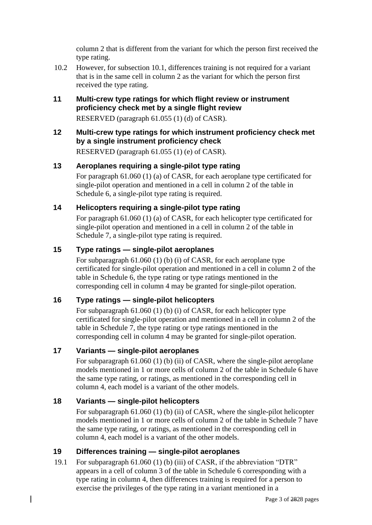column 2 that is different from the variant for which the person first received the type rating.

- 10.2 However, for subsection 10.1, differences training is not required for a variant that is in the same cell in column 2 as the variant for which the person first received the type rating.
- **11 Multi-crew type ratings for which flight review or instrument proficiency check met by a single flight review** RESERVED (paragraph 61.055 (1) (d) of CASR).
- **12 Multi-crew type ratings for which instrument proficiency check met by a single instrument proficiency check**

RESERVED (paragraph 61.055 (1) (e) of CASR).

### **13 Aeroplanes requiring a single-pilot type rating**

For paragraph 61.060 (1) (a) of CASR, for each aeroplane type certificated for single-pilot operation and mentioned in a cell in column 2 of the table in Schedule 6, a single-pilot type rating is required.

### **14 Helicopters requiring a single-pilot type rating**

For paragraph 61.060 (1) (a) of CASR, for each helicopter type certificated for single-pilot operation and mentioned in a cell in column 2 of the table in Schedule 7, a single-pilot type rating is required.

## **15 Type ratings — single-pilot aeroplanes**

For subparagraph 61.060 (1) (b) (i) of CASR, for each aeroplane type certificated for single-pilot operation and mentioned in a cell in column 2 of the table in Schedule 6, the type rating or type ratings mentioned in the corresponding cell in column 4 may be granted for single-pilot operation.

# **16 Type ratings — single-pilot helicopters**

For subparagraph 61.060 (1) (b) (i) of CASR, for each helicopter type certificated for single-pilot operation and mentioned in a cell in column 2 of the table in Schedule 7, the type rating or type ratings mentioned in the corresponding cell in column 4 may be granted for single-pilot operation.

#### **17 Variants — single-pilot aeroplanes**

For subparagraph 61.060 (1) (b) (ii) of CASR, where the single-pilot aeroplane models mentioned in 1 or more cells of column 2 of the table in Schedule 6 have the same type rating, or ratings, as mentioned in the corresponding cell in column 4, each model is a variant of the other models.

# **18 Variants — single-pilot helicopters**

For subparagraph 61.060 (1) (b) (ii) of CASR, where the single-pilot helicopter models mentioned in 1 or more cells of column 2 of the table in Schedule 7 have the same type rating, or ratings, as mentioned in the corresponding cell in column 4, each model is a variant of the other models.

#### **19 Differences training — single-pilot aeroplanes**

19.1 For subparagraph 61.060 (1) (b) (iii) of CASR, if the abbreviation "DTR" appears in a cell of column 3 of the table in Schedule 6 corresponding with a type rating in column 4, then differences training is required for a person to exercise the privileges of the type rating in a variant mentioned in a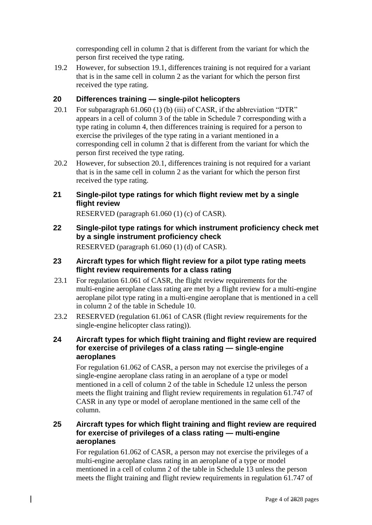corresponding cell in column 2 that is different from the variant for which the person first received the type rating.

19.2 However, for subsection 19.1, differences training is not required for a variant that is in the same cell in column 2 as the variant for which the person first received the type rating.

# **20 Differences training — single-pilot helicopters**

- 20.1 For subparagraph 61.060 (1) (b) (iii) of CASR, if the abbreviation "DTR" appears in a cell of column 3 of the table in Schedule 7 corresponding with a type rating in column 4, then differences training is required for a person to exercise the privileges of the type rating in a variant mentioned in a corresponding cell in column 2 that is different from the variant for which the person first received the type rating.
- 20.2 However, for subsection 20.1, differences training is not required for a variant that is in the same cell in column 2 as the variant for which the person first received the type rating.

### **21 Single-pilot type ratings for which flight review met by a single flight review**

RESERVED (paragraph 61.060 (1) (c) of CASR).

**22 Single-pilot type ratings for which instrument proficiency check met by a single instrument proficiency check**

RESERVED (paragraph 61.060 (1) (d) of CASR).

- **23 Aircraft types for which flight review for a pilot type rating meets flight review requirements for a class rating**
- 23.1 For regulation 61.061 of CASR, the flight review requirements for the multi-engine aeroplane class rating are met by a flight review for a multi-engine aeroplane pilot type rating in a multi-engine aeroplane that is mentioned in a cell in column 2 of the table in Schedule 10.
- 23.2 RESERVED (regulation 61.061 of CASR (flight review requirements for the single-engine helicopter class rating)).

#### **24 Aircraft types for which flight training and flight review are required for exercise of privileges of a class rating — single-engine aeroplanes**

For regulation 61.062 of CASR, a person may not exercise the privileges of a single-engine aeroplane class rating in an aeroplane of a type or model mentioned in a cell of column 2 of the table in Schedule 12 unless the person meets the flight training and flight review requirements in regulation 61.747 of CASR in any type or model of aeroplane mentioned in the same cell of the column.

#### **25 Aircraft types for which flight training and flight review are required for exercise of privileges of a class rating — multi-engine aeroplanes**

For regulation 61.062 of CASR, a person may not exercise the privileges of a multi-engine aeroplane class rating in an aeroplane of a type or model mentioned in a cell of column 2 of the table in Schedule 13 unless the person meets the flight training and flight review requirements in regulation 61.747 of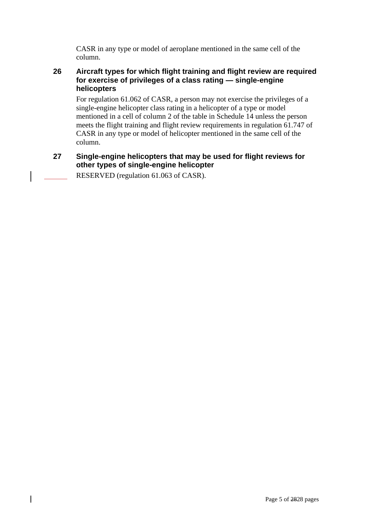CASR in any type or model of aeroplane mentioned in the same cell of the column.

### **26 Aircraft types for which flight training and flight review are required for exercise of privileges of a class rating — single-engine helicopters**

For regulation 61.062 of CASR, a person may not exercise the privileges of a single-engine helicopter class rating in a helicopter of a type or model mentioned in a cell of column 2 of the table in Schedule 14 unless the person meets the flight training and flight review requirements in regulation 61.747 of CASR in any type or model of helicopter mentioned in the same cell of the column.

# **27 Single-engine helicopters that may be used for flight reviews for other types of single-engine helicopter**

RESERVED (regulation 61.063 of CASR).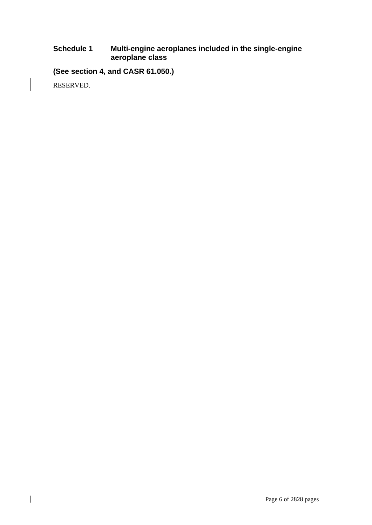## **Schedule 1 Multi-engine aeroplanes included in the single-engine aeroplane class**

**(See section 4, and CASR 61.050.)**

RESERVED.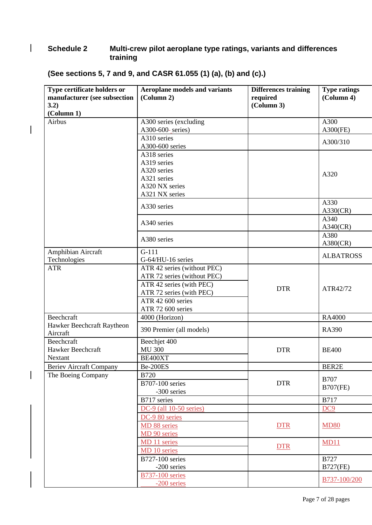# **Schedule 2 Multi-crew pilot aeroplane type ratings, variants and differences training**

| Type certificate holders or            | <b>Aeroplane models and variants</b> | <b>Differences training</b> | <b>Type ratings</b> |
|----------------------------------------|--------------------------------------|-----------------------------|---------------------|
| manufacturer (see subsection           | (Column 2)                           | required                    | (Column 4)          |
| 3.2)                                   |                                      | (Column 3)                  |                     |
| (Column 1)                             |                                      |                             |                     |
| Airbus                                 | A300 series (excluding               |                             | A300                |
|                                        | A300-600- series)                    |                             | $A300$ (FE)         |
|                                        | A310 series                          |                             | A300/310            |
|                                        | A300-600 series                      |                             |                     |
|                                        | A318 series                          |                             |                     |
|                                        | A319 series                          |                             |                     |
|                                        | A320 series                          |                             | A320                |
|                                        | A321 series                          |                             |                     |
|                                        | A320 NX series                       |                             |                     |
|                                        | A321 NX series                       |                             |                     |
|                                        | A330 series                          |                             | A330<br>A330(CR)    |
|                                        | A340 series                          |                             | A340<br>A340(CR)    |
|                                        | A380 series                          |                             | A380<br>A380(CR)    |
| Amphibian Aircraft                     | $G-111$                              |                             |                     |
| Technologies                           | G-64/HU-16 series                    |                             | <b>ALBATROSS</b>    |
| <b>ATR</b>                             | ATR 42 series (without PEC)          |                             |                     |
|                                        | ATR 72 series (without PEC)          |                             |                     |
|                                        | ATR 42 series (with PEC)             |                             |                     |
|                                        | ATR 72 series (with PEC)             | <b>DTR</b>                  | ATR42/72            |
|                                        | ATR 42 600 series                    |                             |                     |
|                                        | ATR 72 600 series                    |                             |                     |
| Beechcraft                             | 4000 (Horizon)                       |                             | RA4000              |
| Hawker Beechcraft Raytheon<br>Aircraft | 390 Premier (all models)             |                             | <b>RA390</b>        |
| Beechcraft                             | Beechjet 400                         |                             |                     |
| Hawker Beechcraft                      | <b>MU 300</b>                        | <b>DTR</b>                  | <b>BE400</b>        |
| Nextant                                | BE400XT                              |                             |                     |
| <b>Beriev Aircraft Company</b>         | Be-200ES                             |                             | BER2E               |
| The Boeing Company                     | <b>B720</b>                          |                             |                     |
|                                        | <b>B707-100 series</b>               | <b>DTR</b>                  | <b>B707</b>         |
|                                        | -300 series                          |                             | <b>B707(FE)</b>     |
|                                        | B717 series                          |                             | <b>B717</b>         |
|                                        | DC-9 (all 10-50 series)              |                             | DC <sub>9</sub>     |
|                                        | DC-9 80 series                       |                             |                     |
|                                        | MD 88 series                         | <b>DTR</b>                  | <b>MD80</b>         |
|                                        | MD 90 series                         |                             |                     |
|                                        | MD 11 series                         |                             | MD11                |
|                                        | MD 10 series                         | <b>DTR</b>                  |                     |
|                                        | <b>B727-100 series</b>               |                             | <b>B727</b>         |
|                                        | -200 series                          |                             | <b>B727(FE)</b>     |
|                                        | <b>B737-100 series</b>               |                             |                     |
|                                        | -200 series                          |                             | B737-100/200        |

# **(See sections 5, 7 and 9, and CASR 61.055 (1) (a), (b) and (c).)**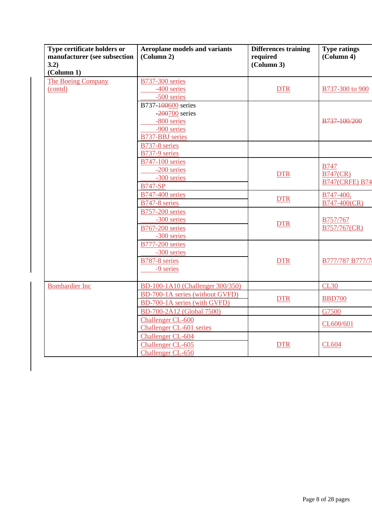| Type certificate holders or<br>manufacturer (see subsection<br>3.2)<br>(Column 1) | <b>Aeroplane models and variants</b><br>(Column 2)                                  | <b>Differences training</b><br>required<br>(Column 3) | <b>Type ratings</b><br>(Column 4)                       |
|-----------------------------------------------------------------------------------|-------------------------------------------------------------------------------------|-------------------------------------------------------|---------------------------------------------------------|
| <b>The Boeing Company</b><br>(contd)                                              | <b>B737-300 series</b><br>-400 series                                               | <b>DTR</b>                                            | B737-300 to 900                                         |
|                                                                                   | -500 series<br>B737-100600 series<br>$-200700$ series<br>-800 series<br>-900 series |                                                       | B737-100/200                                            |
|                                                                                   | <b>B737-BBJ</b> series<br>B737-8 series<br>B737-9 series                            |                                                       |                                                         |
|                                                                                   | <b>B747-100 series</b><br>-200 series<br>-300 series<br><b>B747-SP</b>              | <b>DTR</b>                                            | <b>B747</b><br><b>B747(CR)</b><br><b>B747(CRFE) B74</b> |
|                                                                                   | <b>B747-400 series</b><br>B747-8 series                                             | <b>DTR</b>                                            | B747-400,<br>B747-400(CR)                               |
|                                                                                   | <b>B757-200 series</b><br>-300 series<br><b>B767-200 series</b><br>-300 series      | <b>DTR</b>                                            | B757/767<br>B757/767(CR)                                |
|                                                                                   | <b>B777-200 series</b><br>-300 series<br>B787-8 series<br>-9 series                 | <b>DTR</b>                                            | B777/787 B777/7                                         |
| <b>Bombardier Inc</b>                                                             | BD-100-1A10 (Challenger 300/350)                                                    |                                                       | <b>CL30</b>                                             |
|                                                                                   | BD-700-1A series (without GVFD)<br>BD-700-1A series (with GVFD)                     | <b>DTR</b>                                            | <b>BBD700</b>                                           |
|                                                                                   | BD-700-2A12 (Global 7500)                                                           |                                                       | G7500                                                   |
|                                                                                   | Challenger CL-600<br>Challenger CL-601 series                                       |                                                       | CL600/601                                               |
|                                                                                   | Challenger CL-604<br>Challenger CL-605<br>Challenger CL-650                         | <b>DTR</b>                                            | <b>CL604</b>                                            |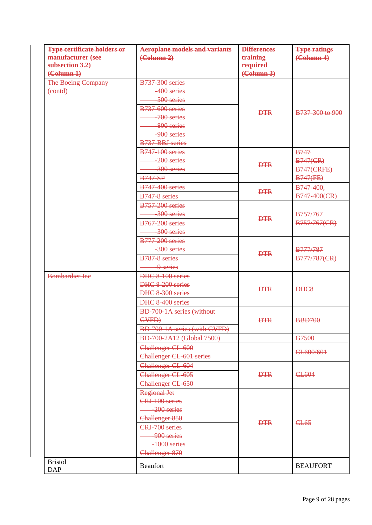| <b>Type certificate holders or</b> | <b>Aeroplane models and variants</b> | <b>Differences</b>              | <b>Type ratings</b>             |
|------------------------------------|--------------------------------------|---------------------------------|---------------------------------|
| manufacturer (see                  | $\left(\text{Column } 2\right)$      | training                        | $\left(\text{Column } 4\right)$ |
| subsection 3.2)                    |                                      | required                        |                                 |
| $\left(\text{Column } 1\right)$    |                                      | $\left(\text{Column } 3\right)$ |                                 |
| <b>The Boeing Company</b>          | <b>B737-300 series</b>               |                                 |                                 |
| $( \overline{)}$                   | 400 series                           |                                 |                                 |
|                                    | 500 series                           |                                 |                                 |
|                                    | <b>B737-600 series</b>               | <b>DTR</b>                      | B737-300 to 900                 |
|                                    | 700 series                           |                                 |                                 |
|                                    | 800 series                           |                                 |                                 |
|                                    | 900 series                           |                                 |                                 |
|                                    | B737-BBJ series                      |                                 |                                 |
|                                    | <b>B747-100 series</b>               |                                 | <b>B747</b>                     |
|                                    | 200 series                           | <b>DTR</b>                      | $B747$ (CR)                     |
|                                    | 300 series                           |                                 | <b>B747(CRFE)</b>               |
|                                    | <b>B747-SP</b>                       |                                 | <b>B747(FE)</b>                 |
|                                    | <b>B747-400 series</b>               | <b>DTR</b>                      | B747-400,                       |
|                                    | B747-8 series                        |                                 | B747-400(CR)                    |
|                                    | <b>B757-200 series</b>               |                                 |                                 |
|                                    | -300 series                          | <b>DTR</b>                      | <b>B757/767</b>                 |
|                                    | <b>B767-200 series</b>               |                                 | B757/767(CR)                    |
|                                    | 300 series                           |                                 |                                 |
|                                    | <b>B777-200 series</b>               |                                 |                                 |
|                                    | -300 series                          | <b>DTR</b>                      | <b>B777/787</b>                 |
|                                    | B787-8 series                        |                                 | B777/787(CR)                    |
|                                    | -9 series                            |                                 |                                 |
| <b>Bombardier Inc</b>              | DHC 8-100 series                     |                                 |                                 |
|                                    | DHC 8-200 series                     | <b>DTR</b>                      | DHC <sub>8</sub>                |
|                                    | DHC 8-300 series                     |                                 |                                 |
|                                    | DHC 8-400 series                     |                                 |                                 |
|                                    | BD-700-1A series (without            |                                 |                                 |
|                                    | GVFD)                                | <b>DTR</b>                      | <b>BBD700</b>                   |
|                                    | BD-700-1A series (with GVFD)         |                                 |                                 |
|                                    | BD-700-2A12 (Global 7500)            |                                 | G7500                           |
|                                    | Challenger CL-600                    |                                 |                                 |
|                                    | <b>Challenger CL-601 series</b>      |                                 | CL600/601                       |
|                                    | Challenger CL-604                    |                                 |                                 |
|                                    | Challenger CL-605                    | <b>DTR</b>                      | CL604                           |
|                                    | Challenger CL-650                    |                                 |                                 |
|                                    | <b>Regional Jet</b>                  |                                 |                                 |
|                                    | CRJ-100 series                       |                                 |                                 |
|                                    | $-200$ series                        |                                 |                                 |
|                                    | Challenger 850                       | <b>DTR</b>                      | CL <sub>65</sub>                |
|                                    | CRJ-700 series                       |                                 |                                 |
|                                    | -900 series                          |                                 |                                 |
|                                    | $-1000$ series                       |                                 |                                 |
|                                    | Challenger 870                       |                                 |                                 |
| <b>Bristol</b><br><b>DAP</b>       | Beaufort                             |                                 | <b>BEAUFORT</b>                 |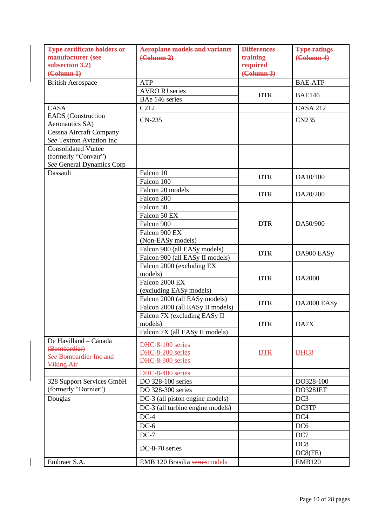| <b>Type certificate holders or</b>                         | <b>Aeroplane models and variants</b> | <b>Differences</b>             | <b>Type ratings</b>             |
|------------------------------------------------------------|--------------------------------------|--------------------------------|---------------------------------|
| manufacturer (see                                          | $\left(\text{Column } 2\right)$      | training                       | $\left(\text{Column } 4\right)$ |
| subsection 3.2)                                            |                                      | required<br>( <b>Column</b> 3) |                                 |
| $\left(\text{Column } 1\right)$                            |                                      |                                |                                 |
| <b>British Aerospace</b>                                   | <b>ATP</b>                           |                                | <b>BAE-ATP</b>                  |
|                                                            | <b>AVRO RJ</b> series                | <b>DTR</b>                     | <b>BAE146</b>                   |
|                                                            | BAe 146 series                       |                                |                                 |
| CASA                                                       | C <sub>2</sub> 12                    |                                | <b>CASA 212</b>                 |
| <b>EADS</b> (Construction<br>Aeronautics SA)               | $CN-235$                             |                                | <b>CN235</b>                    |
|                                                            |                                      |                                |                                 |
| <b>Cessna Aircraft Company</b><br>See Textron Aviation Inc |                                      |                                |                                 |
| <b>Consolidated Vultee</b>                                 |                                      |                                |                                 |
| (formerly "Convair")                                       |                                      |                                |                                 |
| See General Dynamics Corp                                  |                                      |                                |                                 |
| <b>Dassault</b>                                            | Falcon 10                            |                                |                                 |
|                                                            | Falcon 100                           | <b>DTR</b>                     | DA10/100                        |
|                                                            | Falcon 20 models                     |                                |                                 |
|                                                            | Falcon 200                           | <b>DTR</b>                     | DA20/200                        |
|                                                            | Falcon 50                            |                                |                                 |
|                                                            | Falcon 50 EX                         |                                |                                 |
|                                                            | Falcon 900                           | <b>DTR</b>                     | DA50/900                        |
|                                                            | Falcon 900 EX                        |                                |                                 |
|                                                            | (Non-EASy models)                    |                                |                                 |
|                                                            | Falcon 900 (all EASy models)         |                                |                                 |
|                                                            | Falcon 900 (all EASy II models)      | <b>DTR</b>                     | DA900 EASy                      |
|                                                            | Falcon 2000 (excluding EX            |                                |                                 |
|                                                            | models)                              |                                |                                 |
|                                                            | Falcon 2000 EX                       | <b>DTR</b>                     | DA2000                          |
|                                                            | (excluding EASy models)              |                                |                                 |
|                                                            | Falcon 2000 (all EASy models)        |                                |                                 |
|                                                            | Falcon 2000 (all EASy II models)     | <b>DTR</b>                     | DA2000 EASy                     |
|                                                            | Falcon 7X (excluding EASy II         |                                |                                 |
|                                                            | models)                              | <b>DTR</b>                     | DA7X                            |
|                                                            | Falcon 7X (all EASy II models)       |                                |                                 |
| De Havilland - Canada                                      |                                      |                                |                                 |
| (Bombardier)                                               | DHC-8-100 series                     |                                |                                 |
| See Bombardier Inc and                                     | DHC-8-200 series<br>DHC-8-300 series | <b>DTR</b>                     | DHC <sub>8</sub>                |
| <b>Viking Air</b>                                          |                                      |                                |                                 |
|                                                            | DHC-8-400 series                     |                                |                                 |
| 328 Support Services GmbH                                  | DO 328-100 series                    |                                | DO328-100                       |
| (formerly "Dornier")                                       | DO 328-300 series                    |                                | DO328JET                        |
| Douglas                                                    | DC-3 (all piston engine models)      |                                | DC <sub>3</sub>                 |
|                                                            | DC-3 (all turbine engine models)     |                                | DC3TP                           |
|                                                            | $DC-4$                               |                                | DC4                             |
|                                                            | $DC-6$                               |                                | DC <sub>6</sub>                 |
|                                                            | $DC-7$                               |                                | DC7                             |
|                                                            |                                      |                                | DC <sub>8</sub>                 |
|                                                            | DC-8-70 series                       |                                | $DC8$ $(FE)$                    |
| Embraer S.A.                                               |                                      |                                | <b>EMB120</b>                   |
|                                                            | EMB 120 Brasilia seriesmodels        |                                |                                 |

 $\begin{array}{c} \hline \end{array}$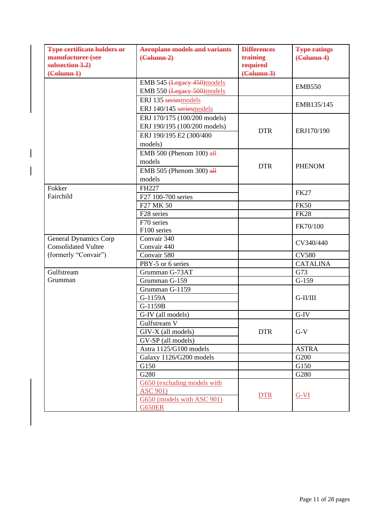| <b>Type certificate holders or</b><br>manufacturer (see<br>subsection 3.2)<br>$\left(\text{Column } 1\right)$ | <b>Aeroplane models and variants</b><br>$\left(\text{Column } 2\right)$                            | <b>Differences</b><br>training<br>required<br>$\left(\frac{\text{Column } 3}{\text{Column } 3}\right)$ | <b>Type ratings</b><br>$\left(\text{Column } 4\right)$ |
|---------------------------------------------------------------------------------------------------------------|----------------------------------------------------------------------------------------------------|--------------------------------------------------------------------------------------------------------|--------------------------------------------------------|
|                                                                                                               | EMB 545 (Legacy 450) models<br>EMB 550 (Legacy 500) models                                         |                                                                                                        | <b>EMB550</b>                                          |
|                                                                                                               | ERJ 135 seriesmodels<br>ERJ 140/145 seriesmodels                                                   |                                                                                                        | EMB135/145                                             |
|                                                                                                               | ERJ 170/175 (100/200 models)<br>ERJ 190/195 (100/200 models)<br>ERJ 190/195 E2 (300/400<br>models) | <b>DTR</b>                                                                                             | ERJ170/190                                             |
|                                                                                                               | EMB 500 (Phenom 100) $\frac{dH}{dt}$<br>models<br>EMB 505 (Phenom 300) $\frac{dH}{dt}$<br>models   | <b>DTR</b>                                                                                             | <b>PHENOM</b>                                          |
| Fokker<br>Fairchild                                                                                           | FH227<br>F27 100-700 series                                                                        |                                                                                                        | <b>FK27</b>                                            |
|                                                                                                               | F27 MK 50                                                                                          |                                                                                                        | <b>FK50</b>                                            |
|                                                                                                               | F28 series                                                                                         |                                                                                                        | <b>FK28</b>                                            |
|                                                                                                               | F70 series<br>F100 series                                                                          |                                                                                                        | FK70/100                                               |
| General Dynamics Corp<br><b>Consolidated Vultee</b>                                                           | Convair 340<br>Convair 440                                                                         |                                                                                                        | CV340/440                                              |
| (formerly "Convair")                                                                                          | Convair 580                                                                                        |                                                                                                        | <b>CV580</b>                                           |
|                                                                                                               | PBY-5 or 6 series                                                                                  |                                                                                                        | <b>CATALINA</b>                                        |
| Gulfstream                                                                                                    | Grumman G-73AT                                                                                     |                                                                                                        | G73                                                    |
| Grumman                                                                                                       | Grumman G-159                                                                                      |                                                                                                        | $G-159$                                                |
|                                                                                                               | Grumman G-1159<br>G-1159A<br>G-1159B                                                               |                                                                                                        | G-II/III                                               |
|                                                                                                               | G-IV (all models)                                                                                  |                                                                                                        | G-IV                                                   |
|                                                                                                               | Gulfstream V<br>GIV-X (all models)<br>GV-SP (all models)                                           | <b>DTR</b>                                                                                             | $G-V$                                                  |
|                                                                                                               | Astra 1125/G100 models                                                                             |                                                                                                        | <b>ASTRA</b>                                           |
|                                                                                                               | Galaxy 1126/G200 models                                                                            |                                                                                                        | G200                                                   |
|                                                                                                               | G150                                                                                               |                                                                                                        | G150                                                   |
|                                                                                                               | G280                                                                                               |                                                                                                        | G280                                                   |
|                                                                                                               | G650 (excluding models with<br><b>ASC 901)</b><br>G650 (models with ASC 901)<br><b>G650ER</b>      | <b>DTR</b>                                                                                             | $G-VI$                                                 |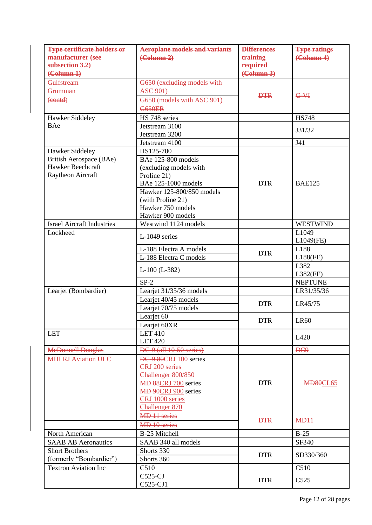| <b>Type certificate holders or</b><br>manufacturer (see<br>subsection 3.2)<br>$\left(\text{Column } 1\right)$ | <b>Aeroplane models and variants</b><br>$\left(\text{Column } 2\right)$                                                                                                                            | <b>Differences</b><br>training<br>required<br>$\left(\text{Column } 3\right)$ | <b>Type ratings</b><br>$\left(\text{Column } 4\right)$ |
|---------------------------------------------------------------------------------------------------------------|----------------------------------------------------------------------------------------------------------------------------------------------------------------------------------------------------|-------------------------------------------------------------------------------|--------------------------------------------------------|
| Gulfstream<br>Grumman<br>$\left(\text{contd}\right)$                                                          | G650 (excluding models with<br><b>ASC 901)</b><br>G650 (models with ASC 901)<br><b>G650ER</b>                                                                                                      | <b>DTR</b>                                                                    | $G - \nabla H$                                         |
| Hawker Siddeley                                                                                               | HS 748 series                                                                                                                                                                                      |                                                                               | <b>HS748</b>                                           |
| BAe                                                                                                           | Jetstream 3100<br>Jetstream 3200                                                                                                                                                                   |                                                                               | J31/32                                                 |
|                                                                                                               | Jetstream 4100                                                                                                                                                                                     |                                                                               | J41                                                    |
| Hawker Siddeley<br>British Aerospace (BAe)<br>Hawker Beechcraft<br>Raytheon Aircraft                          | HS125-700<br><b>BAe 125-800 models</b><br>(excluding models with<br>Proline 21)<br>BAe 125-1000 models<br>Hawker 125-800/850 models<br>(with Proline 21)<br>Hawker 750 models<br>Hawker 900 models | <b>DTR</b>                                                                    | <b>BAE125</b>                                          |
| <b>Israel Aircraft Industries</b>                                                                             | Westwind 1124 models                                                                                                                                                                               |                                                                               | <b>WESTWIND</b>                                        |
| Lockheed                                                                                                      | L-1049 series                                                                                                                                                                                      |                                                                               | L <sub>1049</sub><br>L1049(FE)                         |
|                                                                                                               | L-188 Electra A models<br>L-188 Electra C models                                                                                                                                                   | <b>DTR</b>                                                                    | L188<br>$L188$ (FE)                                    |
|                                                                                                               | $L-100$ ( $L-382$ )                                                                                                                                                                                |                                                                               | L382<br>$L382$ (FE)                                    |
|                                                                                                               | $SP-2$                                                                                                                                                                                             |                                                                               | <b>NEPTUNE</b>                                         |
| Learjet (Bombardier)                                                                                          | Learjet 31/35/36 models                                                                                                                                                                            |                                                                               | LR31/35/36                                             |
|                                                                                                               | Learjet 40/45 models<br>Learjet 70/75 models                                                                                                                                                       | <b>DTR</b>                                                                    | LR45/75                                                |
|                                                                                                               | Learjet 60<br>Learjet 60XR                                                                                                                                                                         | <b>DTR</b>                                                                    | <b>LR60</b>                                            |
| <b>LET</b>                                                                                                    | <b>LET 410</b><br><b>LET 420</b>                                                                                                                                                                   |                                                                               | L420                                                   |
| <b>McDonnell Douglas</b>                                                                                      | DC-9 (all 10-50 series)                                                                                                                                                                            |                                                                               | DC9                                                    |
| <b>MHI RJ Aviation ULC</b>                                                                                    | DC-9-80CRJ 100 series<br>CRJ 200 series<br>Challenger 800/850<br><b>MD 88CRJ 700 series</b><br><b>MD 90CRJ 900 series</b><br>CRJ 1000 series<br>Challenger 870                                     | <b>DTR</b>                                                                    | <b>MD80CL65</b>                                        |
|                                                                                                               | <b>MD</b> <sub>11</sub> series<br>MD 10 series                                                                                                                                                     | <b>DTR</b>                                                                    | M <sub>D</sub> <sub>11</sub>                           |
| North American                                                                                                | B-25 Mitchell                                                                                                                                                                                      |                                                                               | $B-25$                                                 |
| <b>SAAB AB Aeronautics</b>                                                                                    | SAAB 340 all models                                                                                                                                                                                |                                                                               | SF340                                                  |
| <b>Short Brothers</b><br>(formerly "Bombardier")                                                              | Shorts 330<br>Shorts 360                                                                                                                                                                           | <b>DTR</b>                                                                    | SD330/360                                              |
| <b>Textron Aviation Inc</b>                                                                                   | C510                                                                                                                                                                                               |                                                                               | C510                                                   |
|                                                                                                               | $C525-CJ$<br>C525-CJ1                                                                                                                                                                              | <b>DTR</b>                                                                    | C525                                                   |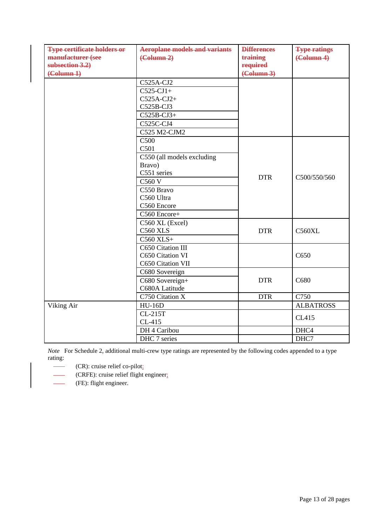| <b>Type certificate holders or</b><br>manufacturer (see<br>subsection 3.2)<br>$(\text{Column } 1)$ | <b>Aeroplane models and variants</b><br>(Column 2)                                                                                                   | <b>Differences</b><br>training<br>required<br>$\left(\text{Column } 3\right)$ | <b>Type ratings</b><br>$\left(\text{Column } 4\right)$ |
|----------------------------------------------------------------------------------------------------|------------------------------------------------------------------------------------------------------------------------------------------------------|-------------------------------------------------------------------------------|--------------------------------------------------------|
|                                                                                                    | C525A-CJ2<br>$C525-CJ1+$<br>$C525A-CJ2+$<br>C525B-CJ3<br>$C525B-CJ3+$<br>C525C-CJ4<br>C525 M2-CJM2                                                   |                                                                               |                                                        |
|                                                                                                    | C <sub>500</sub><br>C501<br>C550 (all models excluding<br>Bravo)<br>C551 series<br>C560 V<br>C550 Bravo<br>C560 Ultra<br>C560 Encore<br>C560 Encore+ | <b>DTR</b>                                                                    | C500/550/560                                           |
|                                                                                                    | C560 XL (Excel)<br><b>C560 XLS</b><br>$C560$ $XLS+$                                                                                                  | <b>DTR</b>                                                                    | <b>C560XL</b>                                          |
|                                                                                                    | C650 Citation III<br>C650 Citation VI<br>C650 Citation VII                                                                                           |                                                                               | C650                                                   |
|                                                                                                    | C680 Sovereign<br>C680 Sovereign+<br>C680A Latitude                                                                                                  | <b>DTR</b>                                                                    | C680                                                   |
|                                                                                                    | C750 Citation X                                                                                                                                      | <b>DTR</b>                                                                    | C750                                                   |
| Viking Air                                                                                         | $HU-16D$                                                                                                                                             |                                                                               | <b>ALBATROSS</b>                                       |
|                                                                                                    | CL-215T<br>CL-415                                                                                                                                    |                                                                               | CL415                                                  |
|                                                                                                    | DH 4 Caribou                                                                                                                                         |                                                                               | DHC4                                                   |
|                                                                                                    | DHC 7 series                                                                                                                                         |                                                                               | DHC7                                                   |

*Note* For Schedule 2, additional multi-crew type ratings are represented by the following codes appended to a type rating:

- $\frac{1}{1}$ (CR): cruise relief co-pilot;
- $\overline{\phantom{a}}$ (CRFE): cruise relief flight engineer;
- $\overline{\phantom{a}}$ (FE): flight engineer.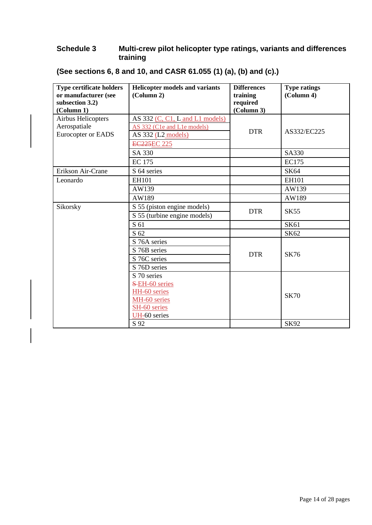## **Schedule 3 Multi-crew pilot helicopter type ratings, variants and differences training**

| <b>Type certificate holders</b><br>or manufacturer (see<br>subsection 3.2)<br>(Column 1) | <b>Helicopter models and variants</b><br>(Column 2)                                                            | <b>Differences</b><br>training<br>required<br>(Column 3) | <b>Type ratings</b><br>(Column 4) |
|------------------------------------------------------------------------------------------|----------------------------------------------------------------------------------------------------------------|----------------------------------------------------------|-----------------------------------|
| Airbus Helicopters<br>Aerospatiale<br>Eurocopter or EADS                                 | AS $332$ (C, C1, L and L1 models)<br>AS 332 (C1e and L1e models)<br>AS $332$ (L2 models)<br><b>EC225EC 225</b> | <b>DTR</b>                                               | AS332/EC225                       |
|                                                                                          | SA 330                                                                                                         |                                                          | <b>SA330</b>                      |
|                                                                                          | <b>EC</b> 175                                                                                                  |                                                          | <b>EC175</b>                      |
| Erikson Air-Crane                                                                        | S 64 series                                                                                                    |                                                          | SK64                              |
| Leonardo                                                                                 | <b>EH101</b>                                                                                                   |                                                          | <b>EH101</b>                      |
|                                                                                          | AW139                                                                                                          |                                                          | AW139                             |
|                                                                                          | AW189                                                                                                          |                                                          | AW189                             |
| Sikorsky                                                                                 | S 55 (piston engine models)                                                                                    | <b>DTR</b>                                               | <b>SK55</b>                       |
|                                                                                          | S 55 (turbine engine models)                                                                                   |                                                          |                                   |
|                                                                                          | S 61                                                                                                           |                                                          | <b>SK61</b>                       |
|                                                                                          | S 62                                                                                                           |                                                          | SK62                              |
|                                                                                          | S 76A series                                                                                                   |                                                          |                                   |
|                                                                                          | S 76B series                                                                                                   | <b>DTR</b>                                               | <b>SK76</b>                       |
|                                                                                          | S 76C series                                                                                                   |                                                          |                                   |
|                                                                                          | S 76D series                                                                                                   |                                                          |                                   |
|                                                                                          | S 70 series                                                                                                    |                                                          |                                   |
|                                                                                          | S-EH-60 series                                                                                                 |                                                          |                                   |
|                                                                                          | HH-60 series                                                                                                   |                                                          | <b>SK70</b>                       |
|                                                                                          | MH-60 series<br>SH-60 series                                                                                   |                                                          |                                   |
|                                                                                          | UH-60 series                                                                                                   |                                                          |                                   |
|                                                                                          | S 92                                                                                                           |                                                          | <b>SK92</b>                       |

**(See sections 6, 8 and 10, and CASR 61.055 (1) (a), (b) and (c).)**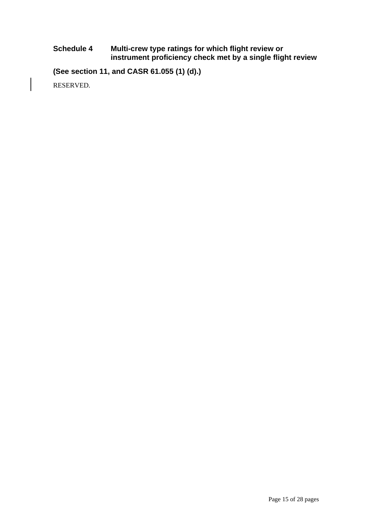#### **Schedule 4 Multi-crew type ratings for which flight review or instrument proficiency check met by a single flight review**

**(See section 11, and CASR 61.055 (1) (d).)**

RESERVED.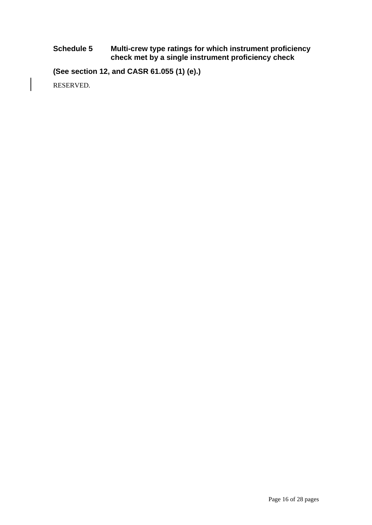#### **Schedule 5 Multi-crew type ratings for which instrument proficiency check met by a single instrument proficiency check**

**(See section 12, and CASR 61.055 (1) (e).)**

RESERVED.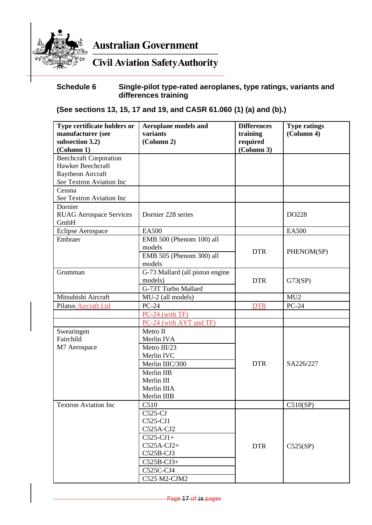

**Australian Government** 

# **Civil Aviation Safety Authority**

# **Schedule 6 Single-pilot type-rated aeroplanes, type ratings, variants and differences training**

# **(See sections 13, 15, 17 and 19, and CASR 61.060 (1) (a) and (b).)**

| Type certificate holders or<br>manufacturer (see<br>subsection 3.2)<br>(Column 1) | <b>Aeroplane models and</b><br>variants<br>(Column 2) | <b>Differences</b><br>training<br>required<br>(Column 3) | <b>Type ratings</b><br>(Column 4) |
|-----------------------------------------------------------------------------------|-------------------------------------------------------|----------------------------------------------------------|-----------------------------------|
| <b>Beechcraft Corporation</b>                                                     |                                                       |                                                          |                                   |
| Hawker Beechcraft                                                                 |                                                       |                                                          |                                   |
| Raytheon Aircraft                                                                 |                                                       |                                                          |                                   |
| See Textron Aviation Inc                                                          |                                                       |                                                          |                                   |
| Cessna                                                                            |                                                       |                                                          |                                   |
| See Textron Aviation Inc                                                          |                                                       |                                                          |                                   |
| Dornier<br><b>RUAG Aerospace Services</b><br>GmbH                                 | Dornier 228 series                                    |                                                          | DO228                             |
| <b>Eclipse Aerospace</b>                                                          | <b>EA500</b>                                          |                                                          | <b>EA500</b>                      |
| Embraer                                                                           | EMB 500 (Phenom 100) all                              |                                                          |                                   |
|                                                                                   | models                                                | <b>DTR</b>                                               | PHENOM(SP)                        |
|                                                                                   | EMB 505 (Phenom 300) all                              |                                                          |                                   |
|                                                                                   | models                                                |                                                          |                                   |
| Grumman                                                                           | G-73 Mallard (all piston engine                       |                                                          |                                   |
|                                                                                   | models)                                               | <b>DTR</b>                                               | G73(SP)                           |
|                                                                                   | G-73T Turbo Mallard                                   |                                                          |                                   |
| Mitsubishi Aircraft                                                               | MU-2 (all models)                                     |                                                          | MU <sub>2</sub>                   |
| Pilatus Aircraft Ltd                                                              | $PC-24$                                               | <b>DTR</b>                                               | <b>PC-24</b>                      |
|                                                                                   | $PC-24$ (with TF)                                     |                                                          |                                   |
|                                                                                   | PC-24 (with AYT and TF)                               |                                                          |                                   |
| Swearingen                                                                        | Metro II                                              |                                                          |                                   |
| Fairchild                                                                         | Merlin IVA                                            |                                                          |                                   |
| M7 Aerospace                                                                      | Metro III/23                                          |                                                          |                                   |
|                                                                                   | Merlin IVC                                            |                                                          |                                   |
|                                                                                   | Merlin IIIC/300                                       | <b>DTR</b>                                               | SA226/227                         |
|                                                                                   | Merlin IIB                                            |                                                          |                                   |
|                                                                                   | Merlin III                                            |                                                          |                                   |
|                                                                                   | Merlin IIIA                                           |                                                          |                                   |
|                                                                                   | Merlin IIIB                                           |                                                          |                                   |
| <b>Textron Aviation Inc</b>                                                       | C510                                                  |                                                          | C510(SP)                          |
|                                                                                   | $C525-CJ$                                             |                                                          |                                   |
|                                                                                   | C525-CJ1                                              |                                                          |                                   |
|                                                                                   | C525A-CJ2                                             |                                                          |                                   |
|                                                                                   | $C525-CJ1+$                                           |                                                          |                                   |
|                                                                                   | $C525A-CJ2+$                                          | <b>DTR</b>                                               | C525(SP)                          |
|                                                                                   | C525B-CJ3                                             |                                                          |                                   |
|                                                                                   | $C525B-CJ3+$                                          |                                                          |                                   |
|                                                                                   | C525C-CJ4                                             |                                                          |                                   |
|                                                                                   | C525 M2-CJM2                                          |                                                          |                                   |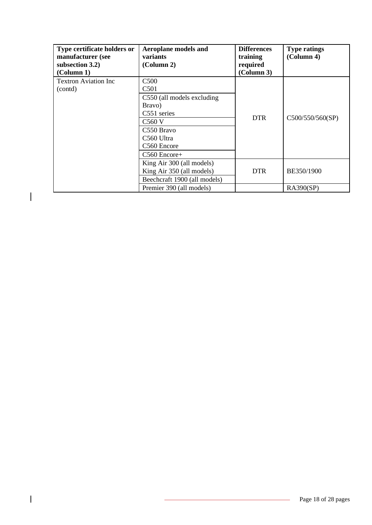| Type certificate holders or<br>manufacturer (see<br>subsection 3.2)<br>(Column 1) | <b>Aeroplane models and</b><br>variants<br>(Column 2)                                                                                              | <b>Differences</b><br>training<br>required<br>(Column 3) | <b>Type ratings</b><br>(Column 4) |
|-----------------------------------------------------------------------------------|----------------------------------------------------------------------------------------------------------------------------------------------------|----------------------------------------------------------|-----------------------------------|
| <b>Textron Aviation Inc</b><br>(contd)                                            | C <sub>500</sub><br>C <sub>501</sub>                                                                                                               |                                                          |                                   |
|                                                                                   | C550 (all models excluding<br>Bravo)<br>C551 series<br>C <sub>560</sub> V<br>C <sub>550</sub> Bravo<br>C560 Ultra<br>C560 Encore<br>$C560$ Encore+ | <b>DTR</b>                                               | C500/550/560(SP)                  |
|                                                                                   | King Air 300 (all models)<br>King Air 350 (all models)<br>Beechcraft 1900 (all models)                                                             | <b>DTR</b>                                               | BE350/1900                        |
|                                                                                   | Premier 390 (all models)                                                                                                                           |                                                          | <b>RA390(SP)</b>                  |

 $\overline{\phantom{a}}$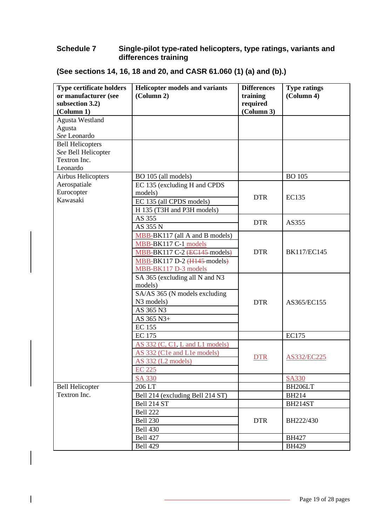#### **Schedule 7 Single-pilot type-rated helicopters, type ratings, variants and differences training**

| <b>Type certificate holders</b> | <b>Helicopter models and variants</b> | <b>Differences</b> | <b>Type ratings</b> |
|---------------------------------|---------------------------------------|--------------------|---------------------|
| or manufacturer (see            | (Column 2)                            | training           | (Column 4)          |
| subsection 3.2)                 |                                       | required           |                     |
| (Column 1)                      |                                       | (Column 3)         |                     |
| <b>Agusta Westland</b>          |                                       |                    |                     |
| Agusta                          |                                       |                    |                     |
| See Leonardo                    |                                       |                    |                     |
| <b>Bell Helicopters</b>         |                                       |                    |                     |
| See Bell Helicopter             |                                       |                    |                     |
| Textron Inc.                    |                                       |                    |                     |
| Leonardo                        |                                       |                    |                     |
| Airbus Helicopters              | BO 105 (all models)                   |                    | <b>BO</b> 105       |
| Aerospatiale                    | EC 135 (excluding H and CPDS          |                    |                     |
| Eurocopter                      | models)                               | <b>DTR</b>         | <b>EC135</b>        |
| Kawasaki                        | EC 135 (all CPDS models)              |                    |                     |
|                                 | H 135 (T3H and P3H models)            |                    |                     |
|                                 | AS 355                                |                    |                     |
|                                 | AS 355 N                              | <b>DTR</b>         | AS355               |
|                                 | MBB-BK117 (all A and B models)        |                    |                     |
|                                 | MBB-BK117 C-1 models                  |                    |                     |
|                                 | MBB-BK117 C-2 (EC145-models)          | <b>DTR</b>         | <b>BK117/EC145</b>  |
|                                 | MBB-BK117 D-2 (H145-models)           |                    |                     |
|                                 | MBB-BK117 D-3 models                  |                    |                     |
|                                 | SA 365 (excluding all N and N3        |                    |                     |
|                                 | models)                               |                    |                     |
|                                 | SA/AS 365 (N models excluding         |                    |                     |
|                                 | N <sub>3</sub> models)                | <b>DTR</b>         | AS365/EC155         |
|                                 | AS 365 N3                             |                    |                     |
|                                 | AS 365 N3+                            |                    |                     |
|                                 | <b>EC</b> 155                         |                    |                     |
|                                 | <b>EC 175</b>                         |                    | <b>EC175</b>        |
|                                 | AS 332 (C, C1, L and L1 models)       |                    |                     |
|                                 | AS 332 (C1e and L1e models)           |                    |                     |
|                                 | AS 332 (L2 models)                    | <b>DTR</b>         | AS332/EC225         |
|                                 | <b>EC 225</b>                         |                    |                     |
|                                 | <b>SA 330</b>                         |                    | <b>SA330</b>        |
| <b>Bell Helicopter</b>          | 206 LT                                |                    | BH206LT             |
| Textron Inc.                    | Bell 214 (excluding Bell 214 ST)      |                    | <b>BH214</b>        |
|                                 | Bell 214 ST                           |                    | BH214ST             |
|                                 | <b>Bell 222</b>                       |                    |                     |
|                                 | <b>Bell 230</b>                       | <b>DTR</b>         | BH222/430           |
|                                 | <b>Bell 430</b>                       |                    |                     |
|                                 | <b>Bell 427</b>                       |                    | <b>BH427</b>        |
|                                 | <b>Bell 429</b>                       |                    | <b>BH429</b>        |
|                                 |                                       |                    |                     |

# **(See sections 14, 16, 18 and 20, and CASR 61.060 (1) (a) and (b).)**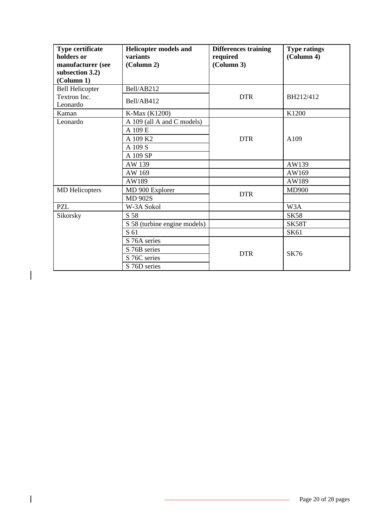| <b>Type certificate</b><br>holders or | <b>Helicopter models and</b><br>variants | <b>Differences training</b><br>required | <b>Type ratings</b><br>(Column 4) |
|---------------------------------------|------------------------------------------|-----------------------------------------|-----------------------------------|
| manufacturer (see                     | (Column 2)                               | (Column 3)                              |                                   |
| subsection 3.2)                       |                                          |                                         |                                   |
| (Column 1)                            |                                          |                                         |                                   |
| <b>Bell Helicopter</b>                | Bell/AB212                               |                                         |                                   |
| Textron Inc.<br>Leonardo              | Bell/AB412                               | <b>DTR</b>                              | BH212/412                         |
| Kaman                                 | K-Max (K1200)                            |                                         | K1200                             |
| Leonardo                              | A 109 (all A and C models)               |                                         |                                   |
|                                       | A 109 E                                  |                                         |                                   |
|                                       | A 109 K2                                 | <b>DTR</b>                              | A109                              |
|                                       | A 109 S                                  |                                         |                                   |
|                                       | A 109 SP                                 |                                         |                                   |
|                                       | AW 139                                   |                                         | AW139                             |
|                                       | AW 169                                   |                                         | AW169                             |
|                                       | AW189                                    |                                         | AW189                             |
| <b>MD</b> Helicopters                 | MD 900 Explorer                          | <b>DTR</b>                              | <b>MD900</b>                      |
|                                       | <b>MD 902S</b>                           |                                         |                                   |
| <b>PZL</b>                            | W-3A Sokol                               |                                         | W3A                               |
| Sikorsky                              | S 58                                     |                                         | <b>SK58</b>                       |
|                                       | S 58 (turbine engine models)             |                                         | SK58T                             |
|                                       | S 61                                     |                                         | SK61                              |
|                                       | S 76A series                             |                                         |                                   |
|                                       | S 76B series                             | <b>DTR</b>                              | <b>SK76</b>                       |
|                                       | S 76C series                             |                                         |                                   |
|                                       | S 76D series                             |                                         |                                   |

 $\overline{\phantom{a}}$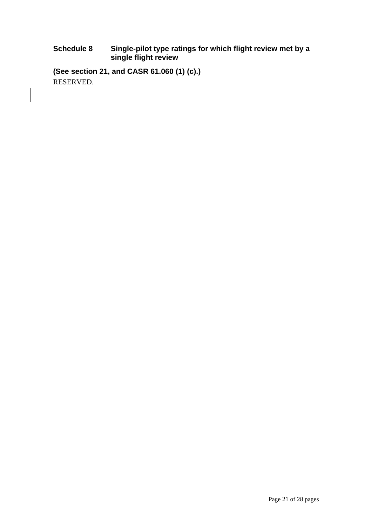#### **Schedule 8 Single-pilot type ratings for which flight review met by a single flight review**

**(See section 21, and CASR 61.060 (1) (c).)** RESERVED.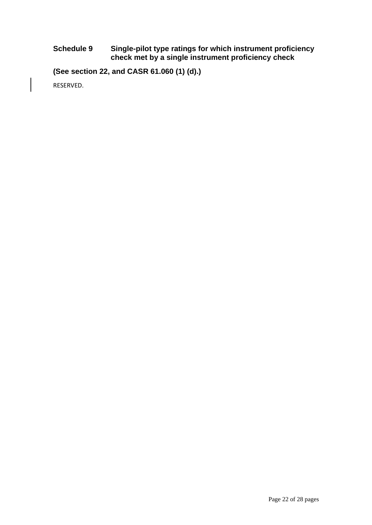#### **Schedule 9 Single-pilot type ratings for which instrument proficiency check met by a single instrument proficiency check**

**(See section 22, and CASR 61.060 (1) (d).)**

RESERVED.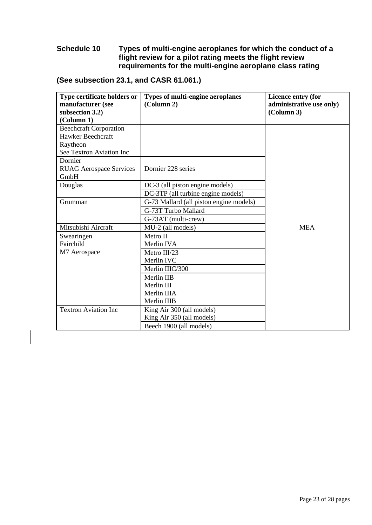#### **Schedule 10 Types of multi-engine aeroplanes for which the conduct of a flight review for a pilot rating meets the flight review requirements for the multi-engine aeroplane class rating**

| Type certificate holders or    | <b>Types of multi-engine aeroplanes</b> | Licence entry (for       |
|--------------------------------|-----------------------------------------|--------------------------|
| manufacturer (see              | (Column 2)                              | administrative use only) |
| subsection 3.2)                |                                         | (Column 3)               |
| (Column 1)                     |                                         |                          |
| <b>Beechcraft Corporation</b>  |                                         |                          |
| Hawker Beechcraft              |                                         |                          |
| Raytheon                       |                                         |                          |
| See Textron Aviation Inc       |                                         |                          |
| Dornier                        |                                         |                          |
| <b>RUAG Aerospace Services</b> | Dornier 228 series                      |                          |
| GmbH                           |                                         |                          |
| Douglas                        | DC-3 (all piston engine models)         |                          |
|                                | DC-3TP (all turbine engine models)      |                          |
| Grumman                        | G-73 Mallard (all piston engine models) |                          |
|                                | G-73T Turbo Mallard                     |                          |
|                                | G-73AT (multi-crew)                     |                          |
| Mitsubishi Aircraft            | MU-2 (all models)                       | <b>MEA</b>               |
| Swearingen                     | Metro II                                |                          |
| Fairchild                      | Merlin IVA                              |                          |
| M7 Aerospace                   | Metro III/23                            |                          |
|                                | Merlin IVC                              |                          |
|                                | Merlin IIIC/300                         |                          |
|                                | Merlin IIB                              |                          |
|                                | Merlin III                              |                          |
|                                | Merlin IIIA                             |                          |
|                                | Merlin IIIB                             |                          |
| <b>Textron Aviation Inc</b>    | King Air 300 (all models)               |                          |
|                                | King Air 350 (all models)               |                          |
|                                | Beech 1900 (all models)                 |                          |

# **(See subsection 23.1, and CASR 61.061.)**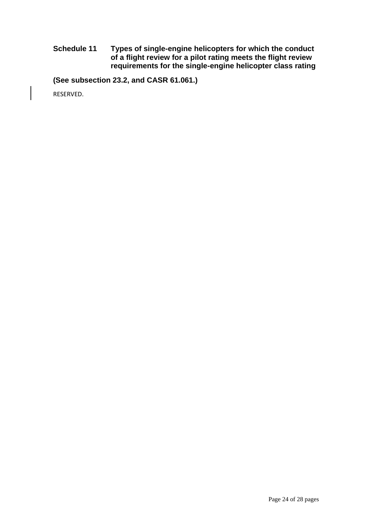**Schedule 11 Types of single-engine helicopters for which the conduct of a flight review for a pilot rating meets the flight review requirements for the single-engine helicopter class rating**

**(See subsection 23.2, and CASR 61.061.)**

RESERVED.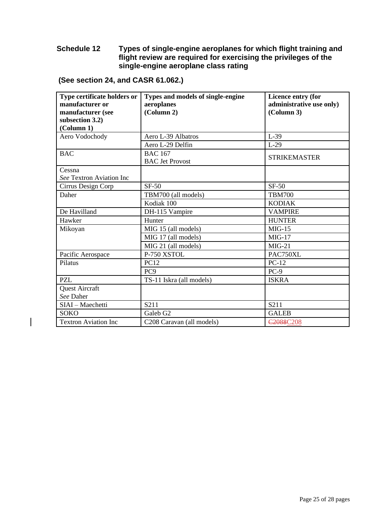#### **Schedule 12 Types of single-engine aeroplanes for which flight training and flight review are required for exercising the privileges of the single-engine aeroplane class rating**

**(See section 24, and CASR 61.062.)**

| Type certificate holders or<br>manufacturer or | Types and models of single-engine<br>aeroplanes | Licence entry (for<br>administrative use only) |
|------------------------------------------------|-------------------------------------------------|------------------------------------------------|
| manufacturer (see                              | (Column 2)                                      | (Column 3)                                     |
| subsection 3.2)<br>(Column 1)                  |                                                 |                                                |
|                                                |                                                 | $L-39$                                         |
| Aero Vodochody                                 | Aero L-39 Albatros                              |                                                |
|                                                | Aero L-29 Delfin                                | $L-29$                                         |
| <b>BAC</b>                                     | <b>BAC 167</b><br><b>BAC</b> Jet Provost        | <b>STRIKEMASTER</b>                            |
| Cessna                                         |                                                 |                                                |
| See Textron Aviation Inc                       |                                                 |                                                |
| Cirrus Design Corp                             | $SF-50$                                         | $SF-50$                                        |
| Daher                                          | TBM700 (all models)                             | <b>TBM700</b>                                  |
|                                                | Kodiak 100                                      | <b>KODIAK</b>                                  |
| De Havilland                                   | DH-115 Vampire                                  | <b>VAMPIRE</b>                                 |
| Hawker                                         | Hunter                                          | <b>HUNTER</b>                                  |
| Mikoyan                                        | MIG 15 (all models)                             | $MIG-15$                                       |
|                                                | MIG 17 (all models)                             | $MIG-17$                                       |
|                                                | MIG 21 (all models)                             | $MIG-21$                                       |
| Pacific Aerospace                              | P-750 XSTOL                                     | PAC750XL                                       |
| Pilatus                                        | <b>PC12</b>                                     | $PC-12$                                        |
|                                                | PC <sub>9</sub>                                 | $PC-9$                                         |
| <b>PZL</b>                                     | TS-11 Iskra (all models)                        | <b>ISKRA</b>                                   |
| <b>Quest Aircraft</b>                          |                                                 |                                                |
| See Daher                                      |                                                 |                                                |
| SIAI - Maechetti                               | S211                                            | S211                                           |
| <b>SOKO</b>                                    | Galeb G <sub>2</sub>                            | <b>GALEB</b>                                   |
| <b>Textron Aviation Inc</b>                    | C208 Caravan (all models)                       | C <sub>2088</sub> C <sub>208</sub>             |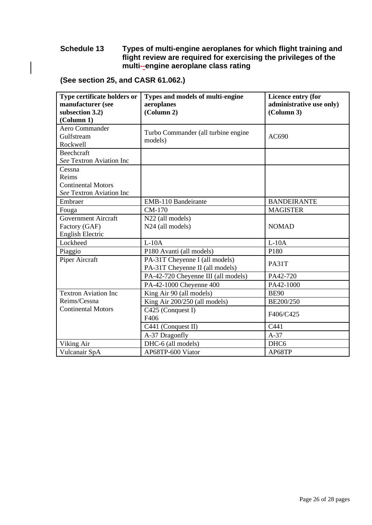#### **Schedule 13 Types of multi-engine aeroplanes for which flight training and flight review are required for exercising the privileges of the multi--engine aeroplane class rating**

| Type certificate holders or<br>manufacturer (see<br>subsection 3.2)<br>(Column 1) | Types and models of multi-engine<br>aeroplanes<br>(Column 2)      | Licence entry (for<br>administrative use only)<br>(Column 3) |
|-----------------------------------------------------------------------------------|-------------------------------------------------------------------|--------------------------------------------------------------|
| Aero Commander<br>Gulfstream<br>Rockwell                                          | Turbo Commander (all turbine engine<br>models)                    | AC690                                                        |
| Beechcraft<br>See Textron Aviation Inc                                            |                                                                   |                                                              |
| Cessna<br>Reims<br><b>Continental Motors</b><br>See Textron Aviation Inc          |                                                                   |                                                              |
| Embraer                                                                           | <b>EMB-110 Bandeirante</b>                                        | <b>BANDEIRANTE</b>                                           |
| Fouga                                                                             | CM-170                                                            | <b>MAGISTER</b>                                              |
| Government Aircraft<br>Factory (GAF)<br>English Electric                          | N22 (all models)<br>N <sub>24</sub> (all models)                  | <b>NOMAD</b>                                                 |
| Lockheed                                                                          | $L-10A$                                                           | $L-10A$                                                      |
| Piaggio                                                                           | P180 Avanti (all models)                                          | P180                                                         |
| Piper Aircraft                                                                    | PA-31T Cheyenne I (all models)<br>PA-31T Cheyenne II (all models) | PA31T                                                        |
|                                                                                   | PA-42-720 Cheyenne III (all models)                               | PA42-720                                                     |
|                                                                                   | PA-42-1000 Cheyenne 400                                           | PA42-1000                                                    |
| <b>Textron Aviation Inc</b>                                                       | King Air 90 (all models)                                          | <b>BE90</b>                                                  |
| Reims/Cessna                                                                      | King Air 200/250 (all models)                                     | BE200/250                                                    |
| <b>Continental Motors</b>                                                         | C425 (Conquest I)<br>F406                                         | F406/C425                                                    |
|                                                                                   | C441 (Conquest II)                                                | C441                                                         |
|                                                                                   | A-37 Dragonfly                                                    | $A-37$                                                       |
| Viking Air                                                                        | DHC-6 (all models)                                                | DHC <sub>6</sub>                                             |
| Vulcanair SpA                                                                     | AP68TP-600 Viator                                                 | AP68TP                                                       |

# **(See section 25, and CASR 61.062.)**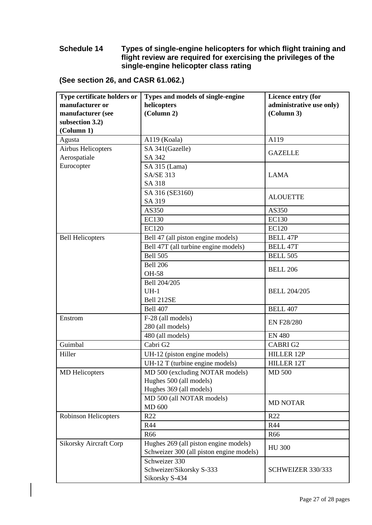#### **Schedule 14 Types of single-engine helicopters for which flight training and flight review are required for exercising the privileges of the single-engine helicopter class rating**

| (See section 26, and CASR 61.062.) |
|------------------------------------|
|------------------------------------|

| manufacturer or<br>helicopters                                                                                                                                                                                                                                                                                                                |
|-----------------------------------------------------------------------------------------------------------------------------------------------------------------------------------------------------------------------------------------------------------------------------------------------------------------------------------------------|
|                                                                                                                                                                                                                                                                                                                                               |
| (Column 2)<br>manufacturer (see                                                                                                                                                                                                                                                                                                               |
| subsection 3.2)                                                                                                                                                                                                                                                                                                                               |
| (Column 1)                                                                                                                                                                                                                                                                                                                                    |
| A119 (Koala)<br>Agusta                                                                                                                                                                                                                                                                                                                        |
| <b>Airbus Helicopters</b><br>SA 341(Gazelle)                                                                                                                                                                                                                                                                                                  |
| Aerospatiale<br>SA 342                                                                                                                                                                                                                                                                                                                        |
| Eurocopter<br>SA 315 (Lama)                                                                                                                                                                                                                                                                                                                   |
| <b>SA/SE 313</b>                                                                                                                                                                                                                                                                                                                              |
| SA 318                                                                                                                                                                                                                                                                                                                                        |
| SA 316 (SE3160)                                                                                                                                                                                                                                                                                                                               |
| SA 319                                                                                                                                                                                                                                                                                                                                        |
| AS350                                                                                                                                                                                                                                                                                                                                         |
| <b>EC130</b>                                                                                                                                                                                                                                                                                                                                  |
| <b>EC120</b>                                                                                                                                                                                                                                                                                                                                  |
| <b>Bell Helicopters</b><br>Bell 47 (all piston engine models)                                                                                                                                                                                                                                                                                 |
|                                                                                                                                                                                                                                                                                                                                               |
| <b>Bell 505</b>                                                                                                                                                                                                                                                                                                                               |
| <b>Bell 206</b>                                                                                                                                                                                                                                                                                                                               |
| <b>OH-58</b>                                                                                                                                                                                                                                                                                                                                  |
| Bell 204/205                                                                                                                                                                                                                                                                                                                                  |
| $UH-1$                                                                                                                                                                                                                                                                                                                                        |
| Bell 212SE                                                                                                                                                                                                                                                                                                                                    |
| <b>Bell 407</b>                                                                                                                                                                                                                                                                                                                               |
| F-28 (all models)<br>Enstrom                                                                                                                                                                                                                                                                                                                  |
| 280 (all models)                                                                                                                                                                                                                                                                                                                              |
| 480 (all models)                                                                                                                                                                                                                                                                                                                              |
| Guimbal<br>Cabri G2                                                                                                                                                                                                                                                                                                                           |
| Hiller<br>UH-12 (piston engine models)                                                                                                                                                                                                                                                                                                        |
|                                                                                                                                                                                                                                                                                                                                               |
|                                                                                                                                                                                                                                                                                                                                               |
|                                                                                                                                                                                                                                                                                                                                               |
| Hughes 369 (all models)                                                                                                                                                                                                                                                                                                                       |
|                                                                                                                                                                                                                                                                                                                                               |
| <b>MD 600</b>                                                                                                                                                                                                                                                                                                                                 |
| R22<br><b>Robinson Helicopters</b>                                                                                                                                                                                                                                                                                                            |
| R44                                                                                                                                                                                                                                                                                                                                           |
| R66                                                                                                                                                                                                                                                                                                                                           |
|                                                                                                                                                                                                                                                                                                                                               |
|                                                                                                                                                                                                                                                                                                                                               |
| Schweizer 330                                                                                                                                                                                                                                                                                                                                 |
|                                                                                                                                                                                                                                                                                                                                               |
| Sikorsky S-434                                                                                                                                                                                                                                                                                                                                |
| Bell 47T (all turbine engine models)<br>UH-12 T (turbine engine models)<br>MD 500 (excluding NOTAR models)<br><b>MD</b> Helicopters<br>Hughes 500 (all models)<br>MD 500 (all NOTAR models)<br><b>Sikorsky Aircraft Corp</b><br>Hughes 269 (all piston engine models)<br>Schweizer 300 (all piston engine models)<br>Schweizer/Sikorsky S-333 |